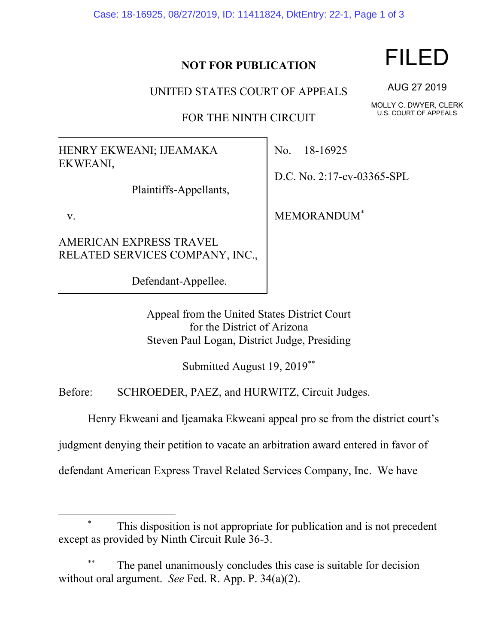Case: 18-16925, 08/27/2019, ID: 11411824, DktEntry: 22-1, Page 1 of 3

## **NOT FOR PUBLICATION**

UNITED STATES COURT OF APPEALS

FOR THE NINTH CIRCUIT

HENRY EKWEANI; IJEAMAKA EKWEANI,

Plaintiffs-Appellants,

v.

AMERICAN EXPRESS TRAVEL RELATED SERVICES COMPANY, INC.,

Defendant-Appellee.

No. 18-16925

D.C. No. 2:17-cv-03365-SPL

MEMORANDUM\*

Appeal from the United States District Court for the District of Arizona Steven Paul Logan, District Judge, Presiding

Submitted August 19, 2019\*\*

Before: SCHROEDER, PAEZ, and HURWITZ, Circuit Judges.

Henry Ekweani and Ijeamaka Ekweani appeal pro se from the district court's

judgment denying their petition to vacate an arbitration award entered in favor of

defendant American Express Travel Related Services Company, Inc. We have

## This disposition is not appropriate for publication and is not precedent except as provided by Ninth Circuit Rule 36-3.

The panel unanimously concludes this case is suitable for decision without oral argument. *See* Fed. R. App. P. 34(a)(2).

FILED

AUG 27 2019

MOLLY C. DWYER, CLERK U.S. COURT OF APPEALS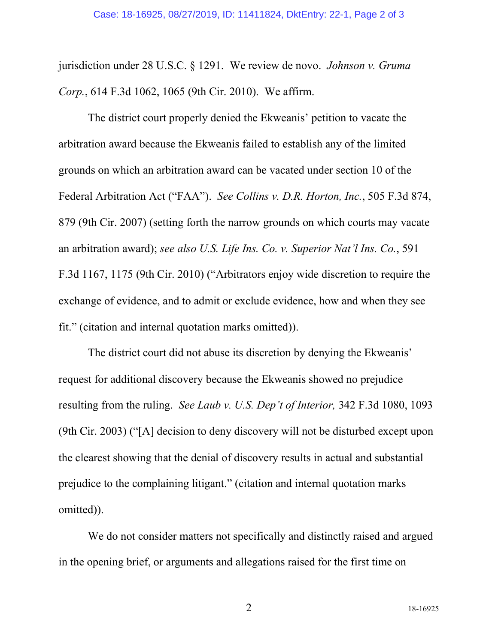jurisdiction under 28 U.S.C. § 1291. We review de novo. *Johnson v. Gruma Corp.*, 614 F.3d 1062, 1065 (9th Cir. 2010). We affirm.

The district court properly denied the Ekweanis' petition to vacate the arbitration award because the Ekweanis failed to establish any of the limited grounds on which an arbitration award can be vacated under section 10 of the Federal Arbitration Act ("FAA"). *See Collins v. D.R. Horton, Inc.*, 505 F.3d 874, 879 (9th Cir. 2007) (setting forth the narrow grounds on which courts may vacate an arbitration award); *see also U.S. Life Ins. Co. v. Superior Nat'l Ins. Co.*, 591 F.3d 1167, 1175 (9th Cir. 2010) ("Arbitrators enjoy wide discretion to require the exchange of evidence, and to admit or exclude evidence, how and when they see fit." (citation and internal quotation marks omitted)).

The district court did not abuse its discretion by denying the Ekweanis' request for additional discovery because the Ekweanis showed no prejudice resulting from the ruling. *See Laub v. U.S. Dep't of Interior,* 342 F.3d 1080, 1093 (9th Cir. 2003) ("[A] decision to deny discovery will not be disturbed except upon the clearest showing that the denial of discovery results in actual and substantial prejudice to the complaining litigant." (citation and internal quotation marks omitted)).

We do not consider matters not specifically and distinctly raised and argued in the opening brief, or arguments and allegations raised for the first time on